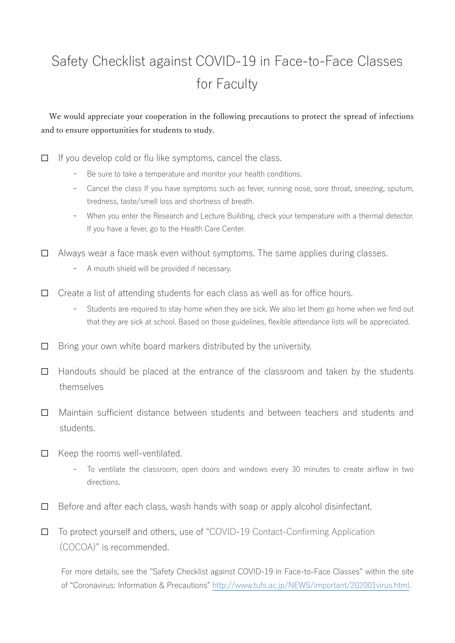## Safety Checklist against COVID-19 in Face-to-Face Classes for Faculty

## We would appreciate your cooperation in the following precautions to protect the spread of infections and to ensure opportunities for students to study.

 $\Box$  If you develop cold or flu like symptoms, cancel the class.

- Be sure to take a temperature and monitor your health conditions.
- Cancel the class If you have symptoms such as fever, running nose, sore throat, sneezing, sputum, tiredness, taste/smell loss and shortness of breath.
- When you enter the Research and Lecture Building, check your temperature with a thermal detector. If you have a fever, go to the Health Care Center.

☐ Always wear a face mask even without symptoms. The same applies during classes.

- A mouth shield will be provided if necessary.
- $\Box$  Create a list of attending students for each class as well as for office hours.
	- Students are required to stay home when they are sick. We also let them go home when we find out that they are sick at school. Based on those guidelines, flexible attendance lists will be appreciated.
- $\Box$  Bring your own white board markers distributed by the university.
- $\Box$  Handouts should be placed at the entrance of the classroom and taken by the students themselves
- ☐ Maintain sufficient distance between students and between teachers and students and students.
- ☐ Keep the rooms well-ventilated.
	- To ventilate the classroom, open doors and windows every 30 minutes to create airflow in two directions.
- $\Box$  Before and after each class, wash hands with soap or apply alcohol disinfectant.

☐ To protect yourself and others, use of "COVID-19 Contact-Confirming Application (COCOA)" is recommended.

For more details, see the "Safety Checklist against COVID-19 in Face-to-Face Classes" within the site of "Coronavirus: Information & Precautions" http://www.tufs.ac.jp/NEWS/important/202001virus.html.